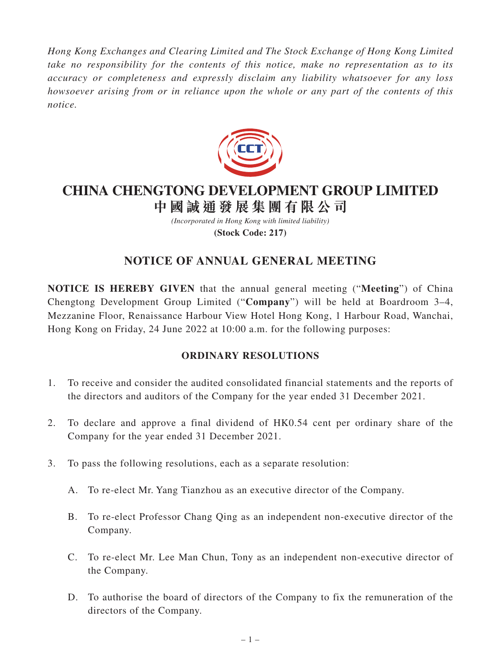*Hong Kong Exchanges and Clearing Limited and The Stock Exchange of Hong Kong Limited take no responsibility for the contents of this notice, make no representation as to its accuracy or completeness and expressly disclaim any liability whatsoever for any loss howsoever arising from or in reliance upon the whole or any part of the contents of this notice.*



## **CHINA CHENGTONG DEVELOPMENT GROUP LIMITED 中國誠通發展集團有限公司**

*(Incorporated in Hong Kong with limited liability)*

**(Stock Code: 217)**

# **NOTICE OF ANNUAL GENERAL MEETING**

**NOTICE IS HEREBY GIVEN** that the annual general meeting ("**Meeting**") of China Chengtong Development Group Limited ("**Company**") will be held at Boardroom 3–4, Mezzanine Floor, Renaissance Harbour View Hotel Hong Kong, 1 Harbour Road, Wanchai, Hong Kong on Friday, 24 June 2022 at 10:00 a.m. for the following purposes:

### **ORDINARY RESOLUTIONS**

- 1. To receive and consider the audited consolidated financial statements and the reports of the directors and auditors of the Company for the year ended 31 December 2021.
- 2. To declare and approve a final dividend of HK0.54 cent per ordinary share of the Company for the year ended 31 December 2021.
- 3. To pass the following resolutions, each as a separate resolution:
	- A. To re-elect Mr. Yang Tianzhou as an executive director of the Company.
	- B. To re-elect Professor Chang Qing as an independent non-executive director of the Company.
	- C. To re-elect Mr. Lee Man Chun, Tony as an independent non-executive director of the Company.
	- D. To authorise the board of directors of the Company to fix the remuneration of the directors of the Company.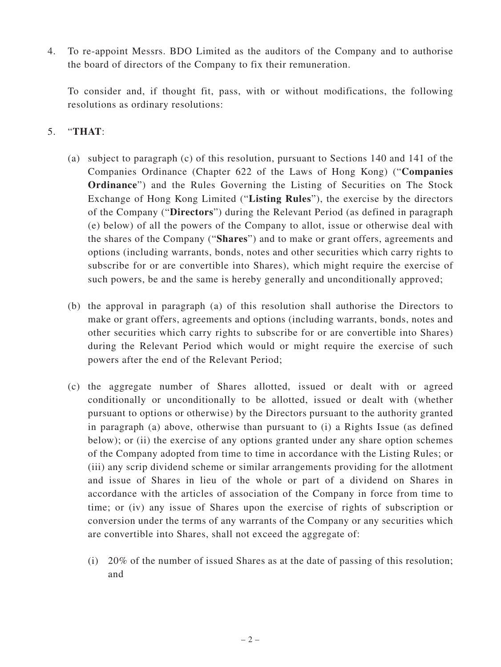4. To re-appoint Messrs. BDO Limited as the auditors of the Company and to authorise the board of directors of the Company to fix their remuneration.

To consider and, if thought fit, pass, with or without modifications, the following resolutions as ordinary resolutions:

### 5. "**THAT**:

- (a) subject to paragraph (c) of this resolution, pursuant to Sections 140 and 141 of the Companies Ordinance (Chapter 622 of the Laws of Hong Kong) ("**Companies Ordinance**") and the Rules Governing the Listing of Securities on The Stock Exchange of Hong Kong Limited ("**Listing Rules**"), the exercise by the directors of the Company ("**Directors**") during the Relevant Period (as defined in paragraph (e) below) of all the powers of the Company to allot, issue or otherwise deal with the shares of the Company ("**Shares**") and to make or grant offers, agreements and options (including warrants, bonds, notes and other securities which carry rights to subscribe for or are convertible into Shares), which might require the exercise of such powers, be and the same is hereby generally and unconditionally approved;
- (b) the approval in paragraph (a) of this resolution shall authorise the Directors to make or grant offers, agreements and options (including warrants, bonds, notes and other securities which carry rights to subscribe for or are convertible into Shares) during the Relevant Period which would or might require the exercise of such powers after the end of the Relevant Period;
- (c) the aggregate number of Shares allotted, issued or dealt with or agreed conditionally or unconditionally to be allotted, issued or dealt with (whether pursuant to options or otherwise) by the Directors pursuant to the authority granted in paragraph (a) above, otherwise than pursuant to (i) a Rights Issue (as defined below); or (ii) the exercise of any options granted under any share option schemes of the Company adopted from time to time in accordance with the Listing Rules; or (iii) any scrip dividend scheme or similar arrangements providing for the allotment and issue of Shares in lieu of the whole or part of a dividend on Shares in accordance with the articles of association of the Company in force from time to time; or (iv) any issue of Shares upon the exercise of rights of subscription or conversion under the terms of any warrants of the Company or any securities which are convertible into Shares, shall not exceed the aggregate of:
	- (i) 20% of the number of issued Shares as at the date of passing of this resolution; and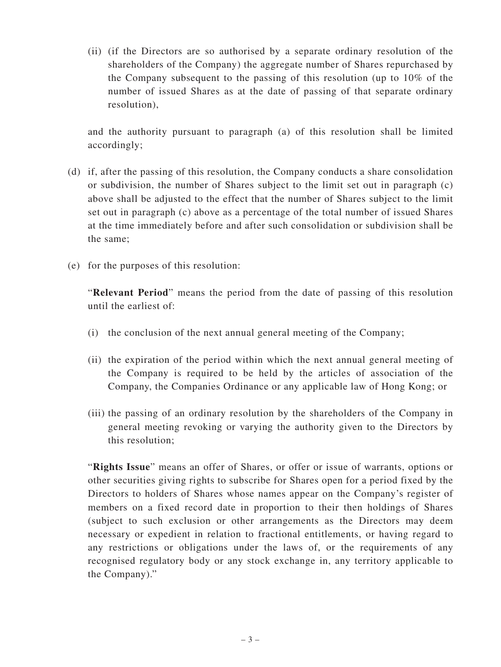(ii) (if the Directors are so authorised by a separate ordinary resolution of the shareholders of the Company) the aggregate number of Shares repurchased by the Company subsequent to the passing of this resolution (up to 10% of the number of issued Shares as at the date of passing of that separate ordinary resolution),

and the authority pursuant to paragraph (a) of this resolution shall be limited accordingly;

- (d) if, after the passing of this resolution, the Company conducts a share consolidation or subdivision, the number of Shares subject to the limit set out in paragraph (c) above shall be adjusted to the effect that the number of Shares subject to the limit set out in paragraph (c) above as a percentage of the total number of issued Shares at the time immediately before and after such consolidation or subdivision shall be the same;
- (e) for the purposes of this resolution:

"**Relevant Period**" means the period from the date of passing of this resolution until the earliest of:

- (i) the conclusion of the next annual general meeting of the Company;
- (ii) the expiration of the period within which the next annual general meeting of the Company is required to be held by the articles of association of the Company, the Companies Ordinance or any applicable law of Hong Kong; or
- (iii) the passing of an ordinary resolution by the shareholders of the Company in general meeting revoking or varying the authority given to the Directors by this resolution;

"**Rights Issue**" means an offer of Shares, or offer or issue of warrants, options or other securities giving rights to subscribe for Shares open for a period fixed by the Directors to holders of Shares whose names appear on the Company's register of members on a fixed record date in proportion to their then holdings of Shares (subject to such exclusion or other arrangements as the Directors may deem necessary or expedient in relation to fractional entitlements, or having regard to any restrictions or obligations under the laws of, or the requirements of any recognised regulatory body or any stock exchange in, any territory applicable to the Company)."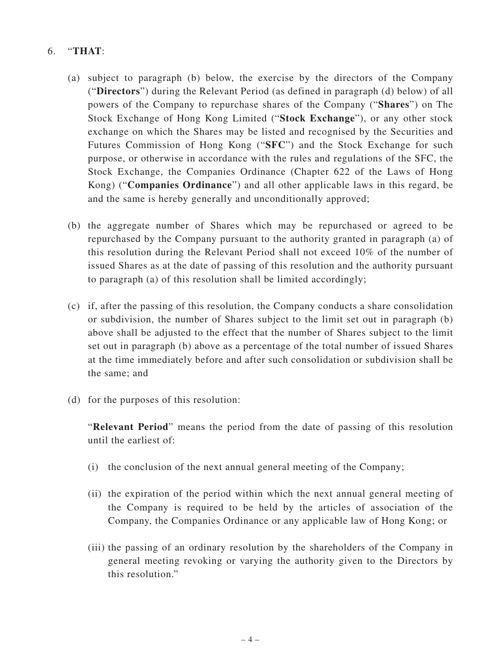### 6. "**THAT**:

- (a) subject to paragraph (b) below, the exercise by the directors of the Company ("**Directors**") during the Relevant Period (as defined in paragraph (d) below) of all powers of the Company to repurchase shares of the Company ("**Shares**") on The Stock Exchange of Hong Kong Limited ("**Stock Exchange**"), or any other stock exchange on which the Shares may be listed and recognised by the Securities and Futures Commission of Hong Kong ("**SFC**") and the Stock Exchange for such purpose, or otherwise in accordance with the rules and regulations of the SFC, the Stock Exchange, the Companies Ordinance (Chapter 622 of the Laws of Hong Kong) ("**Companies Ordinance**") and all other applicable laws in this regard, be and the same is hereby generally and unconditionally approved;
- (b) the aggregate number of Shares which may be repurchased or agreed to be repurchased by the Company pursuant to the authority granted in paragraph (a) of this resolution during the Relevant Period shall not exceed 10% of the number of issued Shares as at the date of passing of this resolution and the authority pursuant to paragraph (a) of this resolution shall be limited accordingly;
- (c) if, after the passing of this resolution, the Company conducts a share consolidation or subdivision, the number of Shares subject to the limit set out in paragraph (b) above shall be adjusted to the effect that the number of Shares subject to the limit set out in paragraph (b) above as a percentage of the total number of issued Shares at the time immediately before and after such consolidation or subdivision shall be the same; and
- (d) for the purposes of this resolution:

"**Relevant Period**" means the period from the date of passing of this resolution until the earliest of:

- (i) the conclusion of the next annual general meeting of the Company;
- (ii) the expiration of the period within which the next annual general meeting of the Company is required to be held by the articles of association of the Company, the Companies Ordinance or any applicable law of Hong Kong; or
- (iii) the passing of an ordinary resolution by the shareholders of the Company in general meeting revoking or varying the authority given to the Directors by this resolution."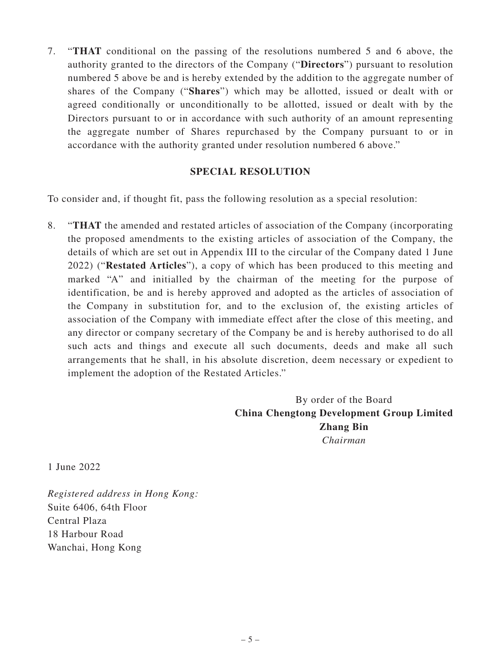7. "**THAT** conditional on the passing of the resolutions numbered 5 and 6 above, the authority granted to the directors of the Company ("**Directors**") pursuant to resolution numbered 5 above be and is hereby extended by the addition to the aggregate number of shares of the Company ("**Shares**") which may be allotted, issued or dealt with or agreed conditionally or unconditionally to be allotted, issued or dealt with by the Directors pursuant to or in accordance with such authority of an amount representing the aggregate number of Shares repurchased by the Company pursuant to or in accordance with the authority granted under resolution numbered 6 above."

#### **SPECIAL RESOLUTION**

To consider and, if thought fit, pass the following resolution as a special resolution:

8. "**THAT** the amended and restated articles of association of the Company (incorporating the proposed amendments to the existing articles of association of the Company, the details of which are set out in Appendix III to the circular of the Company dated 1 June 2022) ("**Restated Articles**"), a copy of which has been produced to this meeting and marked "A" and initialled by the chairman of the meeting for the purpose of identification, be and is hereby approved and adopted as the articles of association of the Company in substitution for, and to the exclusion of, the existing articles of association of the Company with immediate effect after the close of this meeting, and any director or company secretary of the Company be and is hereby authorised to do all such acts and things and execute all such documents, deeds and make all such arrangements that he shall, in his absolute discretion, deem necessary or expedient to implement the adoption of the Restated Articles."

> By order of the Board **China Chengtong Development Group Limited Zhang Bin** *Chairman*

1 June 2022

*Registered address in Hong Kong:* Suite 6406, 64th Floor Central Plaza 18 Harbour Road Wanchai, Hong Kong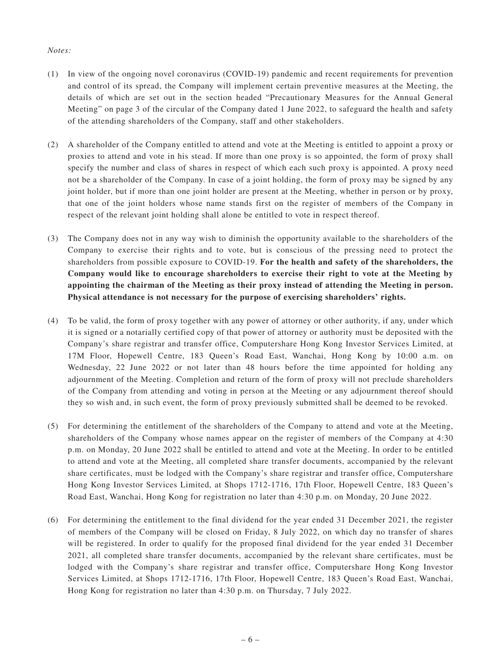#### *Notes:*

- (1) In view of the ongoing novel coronavirus (COVID-19) pandemic and recent requirements for prevention and control of its spread, the Company will implement certain preventive measures at the Meeting, the details of which are set out in the section headed "Precautionary Measures for the Annual General Meeting" on page 3 of the circular of the Company dated 1 June 2022, to safeguard the health and safety of the attending shareholders of the Company, staff and other stakeholders.
- (2) A shareholder of the Company entitled to attend and vote at the Meeting is entitled to appoint a proxy or proxies to attend and vote in his stead. If more than one proxy is so appointed, the form of proxy shall specify the number and class of shares in respect of which each such proxy is appointed. A proxy need not be a shareholder of the Company. In case of a joint holding, the form of proxy may be signed by any joint holder, but if more than one joint holder are present at the Meeting, whether in person or by proxy, that one of the joint holders whose name stands first on the register of members of the Company in respect of the relevant joint holding shall alone be entitled to vote in respect thereof.
- (3) The Company does not in any way wish to diminish the opportunity available to the shareholders of the Company to exercise their rights and to vote, but is conscious of the pressing need to protect the shareholders from possible exposure to COVID-19. **For the health and safety of the shareholders, the Company would like to encourage shareholders to exercise their right to vote at the Meeting by appointing the chairman of the Meeting as their proxy instead of attending the Meeting in person. Physical attendance is not necessary for the purpose of exercising shareholders' rights.**
- (4) To be valid, the form of proxy together with any power of attorney or other authority, if any, under which it is signed or a notarially certified copy of that power of attorney or authority must be deposited with the Company's share registrar and transfer office, Computershare Hong Kong Investor Services Limited, at 17M Floor, Hopewell Centre, 183 Queen's Road East, Wanchai, Hong Kong by 10:00 a.m. on Wednesday, 22 June 2022 or not later than 48 hours before the time appointed for holding any adjournment of the Meeting. Completion and return of the form of proxy will not preclude shareholders of the Company from attending and voting in person at the Meeting or any adjournment thereof should they so wish and, in such event, the form of proxy previously submitted shall be deemed to be revoked.
- (5) For determining the entitlement of the shareholders of the Company to attend and vote at the Meeting, shareholders of the Company whose names appear on the register of members of the Company at 4:30 p.m. on Monday, 20 June 2022 shall be entitled to attend and vote at the Meeting. In order to be entitled to attend and vote at the Meeting, all completed share transfer documents, accompanied by the relevant share certificates, must be lodged with the Company's share registrar and transfer office, Computershare Hong Kong Investor Services Limited, at Shops 1712-1716, 17th Floor, Hopewell Centre, 183 Queen's Road East, Wanchai, Hong Kong for registration no later than 4:30 p.m. on Monday, 20 June 2022.
- (6) For determining the entitlement to the final dividend for the year ended 31 December 2021, the register of members of the Company will be closed on Friday, 8 July 2022, on which day no transfer of shares will be registered. In order to qualify for the proposed final dividend for the year ended 31 December 2021, all completed share transfer documents, accompanied by the relevant share certificates, must be lodged with the Company's share registrar and transfer office, Computershare Hong Kong Investor Services Limited, at Shops 1712-1716, 17th Floor, Hopewell Centre, 183 Queen's Road East, Wanchai, Hong Kong for registration no later than 4:30 p.m. on Thursday, 7 July 2022.